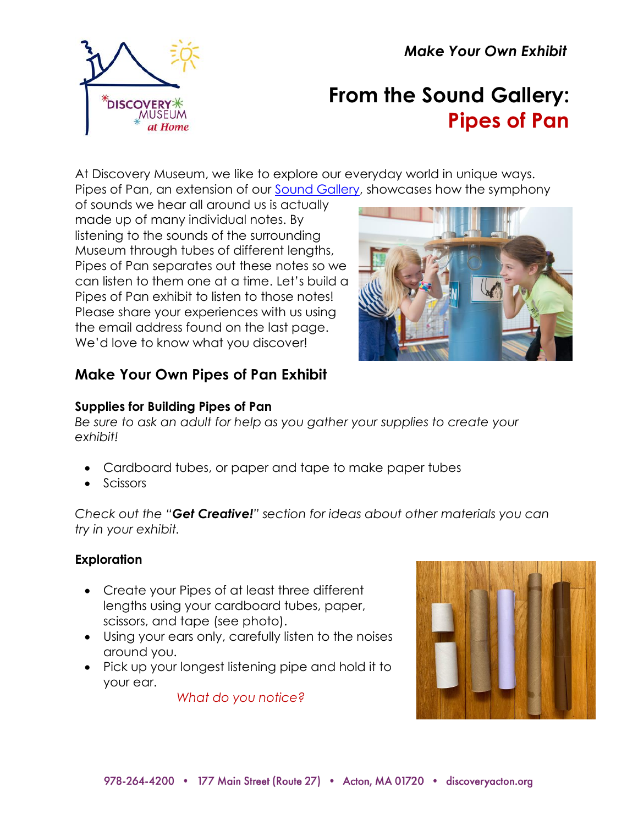*Make Your Own Exhibit*



# **From the Sound Gallery: Pipes of Pan**

At Discovery Museum, we like to explore our everyday world in unique ways. Pipes of Pan, an extension of our [Sound Gallery,](https://www.discoveryacton.org/exhibit/sound-gallery) showcases how the symphony

of sounds we hear all around us is actually made up of many individual notes. By listening to the sounds of the surrounding Museum through tubes of different lengths, Pipes of Pan separates out these notes so we can listen to them one at a time. Let's build a Pipes of Pan exhibit to listen to those notes! Please share your experiences with us using the email address found on the last page. We'd love to know what you discover!



# **Make Your Own Pipes of Pan Exhibit**

## **Supplies for Building Pipes of Pan**

*Be sure to ask an adult for help as you gather your supplies to create your exhibit!*

- Cardboard tubes, or paper and tape to make paper tubes
- Scissors

*Check out the "Get Creative!" section for ideas about other materials you can try in your exhibit.* 

## **Exploration**

- Create your Pipes of at least three different lengths using your cardboard tubes, paper, scissors, and tape (see photo).
- Using your ears only, carefully listen to the noises around you.
- Pick up your longest listening pipe and hold it to your ear.

*What do you notice?*

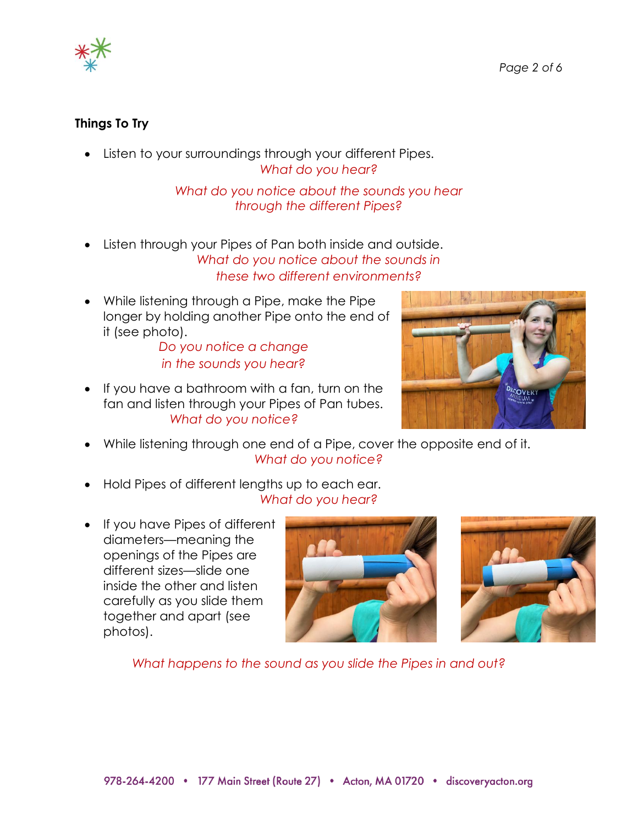

## **Things To Try**

• Listen to your surroundings through your different Pipes. *What do you hear?*

> *What do you notice about the sounds you hear through the different Pipes?*

- Listen through your Pipes of Pan both inside and outside. *What do you notice about the sounds in these two different environments?*
- While listening through a Pipe, make the Pipe longer by holding another Pipe onto the end of it (see photo).

*Do you notice a change in the sounds you hear?*

• If you have a bathroom with a fan, turn on the fan and listen through your Pipes of Pan tubes. *What do you notice?* 



- While listening through one end of a Pipe, cover the opposite end of it. *What do you notice?*
- Hold Pipes of different lengths up to each ear. *What do you hear?*
- If you have Pipes of different diameters—meaning the openings of the Pipes are different sizes—slide one inside the other and listen carefully as you slide them together and apart (see photos).





*What happens to the sound as you slide the Pipes in and out?*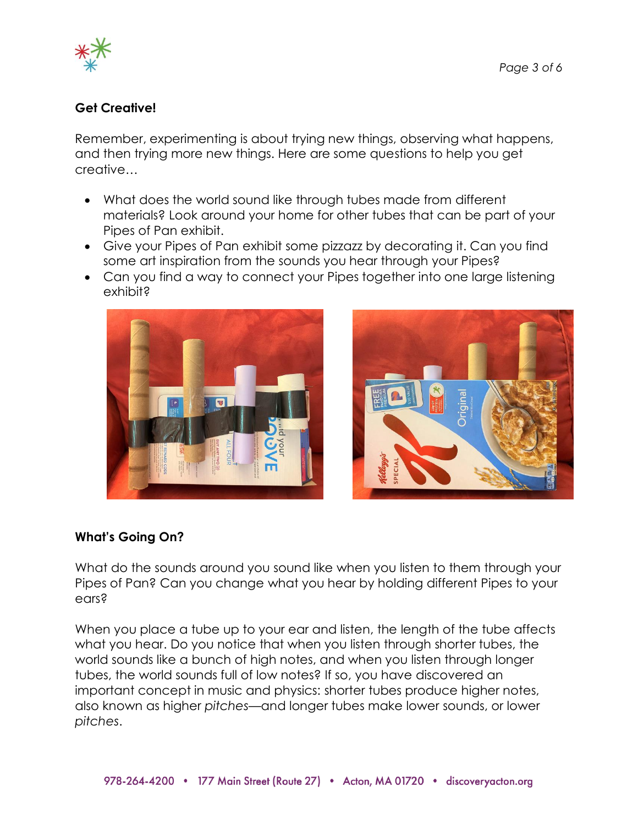

## **Get Creative!**

Remember, experimenting is about trying new things, observing what happens, and then trying more new things. Here are some questions to help you get creative…

- What does the world sound like through tubes made from different materials? Look around your home for other tubes that can be part of your Pipes of Pan exhibit.
- Give your Pipes of Pan exhibit some pizzazz by decorating it. Can you find some art inspiration from the sounds you hear through your Pipes?
- Can you find a way to connect your Pipes together into one large listening exhibit?





## **What's Going On?**

What do the sounds around you sound like when you listen to them through your Pipes of Pan? Can you change what you hear by holding different Pipes to your ears?

When you place a tube up to your ear and listen, the length of the tube affects what you hear. Do you notice that when you listen through shorter tubes, the world sounds like a bunch of high notes, and when you listen through longer tubes, the world sounds full of low notes? If so, you have discovered an important concept in music and physics: shorter tubes produce higher notes, also known as higher *pitches*—and longer tubes make lower sounds, or lower *pitches*.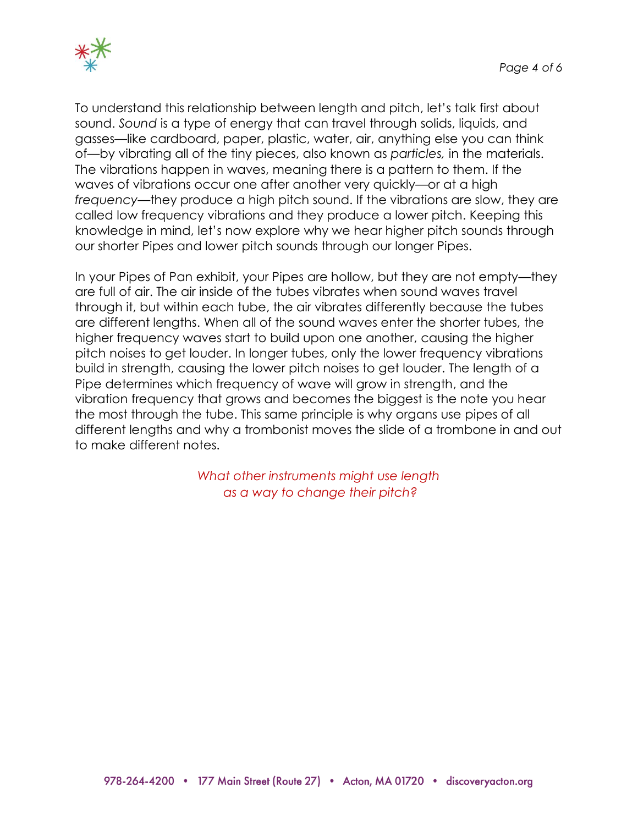

To understand this relationship between length and pitch, let's talk first about sound. *Sound* is a type of energy that can travel through solids, liquids, and gasses—like cardboard, paper, plastic, water, air, anything else you can think of—by vibrating all of the tiny pieces, also known as *particles,* in the materials. The vibrations happen in waves, meaning there is a pattern to them. If the waves of vibrations occur one after another very quickly—or at a high *frequency*—they produce a high pitch sound. If the vibrations are slow, they are called low frequency vibrations and they produce a lower pitch. Keeping this knowledge in mind, let's now explore why we hear higher pitch sounds through our shorter Pipes and lower pitch sounds through our longer Pipes.

In your Pipes of Pan exhibit, your Pipes are hollow, but they are not empty—they are full of air. The air inside of the tubes vibrates when sound waves travel through it, but within each tube, the air vibrates differently because the tubes are different lengths. When all of the sound waves enter the shorter tubes, the higher frequency waves start to build upon one another, causing the higher pitch noises to get louder. In longer tubes, only the lower frequency vibrations build in strength, causing the lower pitch noises to get louder. The length of a Pipe determines which frequency of wave will grow in strength, and the vibration frequency that grows and becomes the biggest is the note you hear the most through the tube. This same principle is why organs use pipes of all different lengths and why a trombonist moves the slide of a trombone in and out to make different notes.

> *What other instruments might use length as a way to change their pitch?*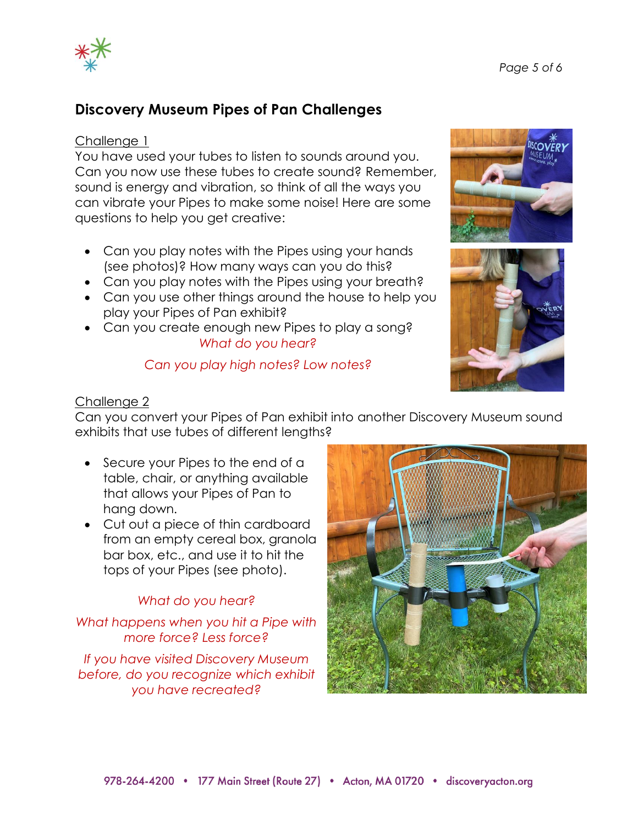



## **Discovery Museum Pipes of Pan Challenges**

#### Challenge 1

You have used your tubes to listen to sounds around you. Can you now use these tubes to create sound? Remember, sound is energy and vibration, so think of all the ways you can vibrate your Pipes to make some noise! Here are some questions to help you get creative:

- Can you play notes with the Pipes using your hands (see photos)? How many ways can you do this?
- Can you play notes with the Pipes using your breath?
- Can you use other things around the house to help you play your Pipes of Pan exhibit?
- Can you create enough new Pipes to play a song? *What do you hear?*

### *Can you play high notes? Low notes?*





#### Challenge 2

Can you convert your Pipes of Pan exhibit into another Discovery Museum sound exhibits that use tubes of different lengths?

- Secure your Pipes to the end of a table, chair, or anything available that allows your Pipes of Pan to hang down.
- Cut out a piece of thin cardboard from an empty cereal box, granola bar box, etc., and use it to hit the tops of your Pipes (see photo).

## *What do you hear?*

*What happens when you hit a Pipe with more force? Less force?* 

*If you have visited Discovery Museum before, do you recognize which exhibit you have recreated?*